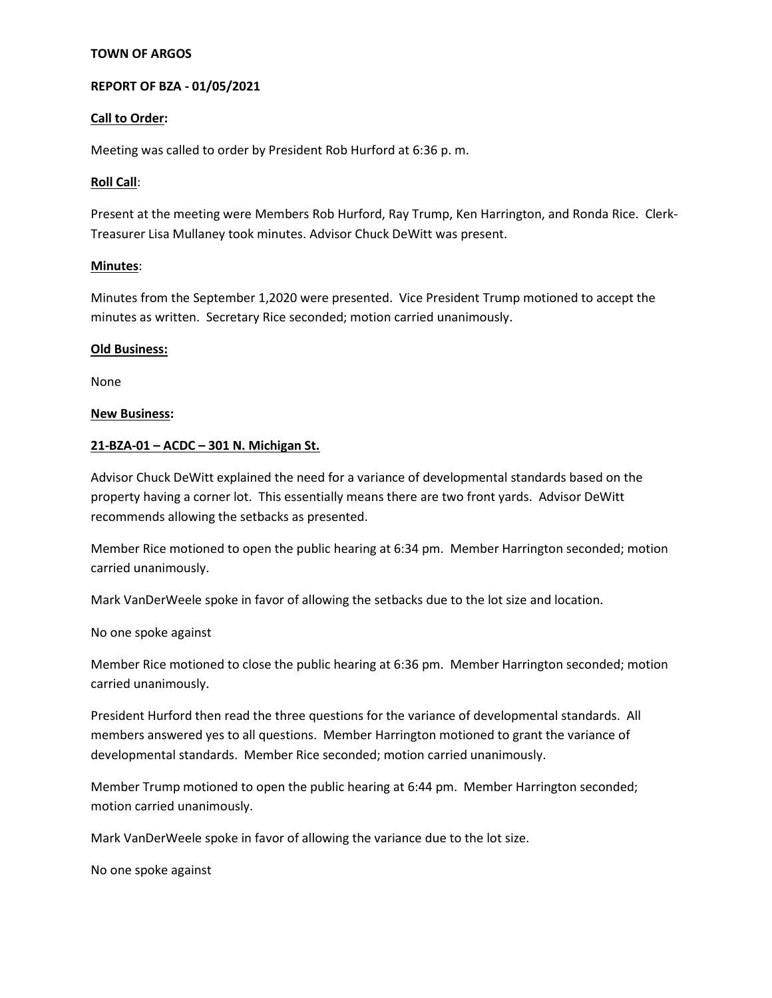### **TOWN OF ARGOS**

## **REPORT OF BZA - 01/05/2021**

### **Call to Order:**

Meeting was called to order by President Rob Hurford at 6:36 p. m.

### **Roll Call**:

Present at the meeting were Members Rob Hurford, Ray Trump, Ken Harrington, and Ronda Rice. Clerk-Treasurer Lisa Mullaney took minutes. Advisor Chuck DeWitt was present.

### **Minutes**:

Minutes from the September 1,2020 were presented. Vice President Trump motioned to accept the minutes as written. Secretary Rice seconded; motion carried unanimously.

### **Old Business:**

None

#### **New Business:**

### **21-BZA-01 – ACDC – 301 N. Michigan St.**

Advisor Chuck DeWitt explained the need for a variance of developmental standards based on the property having a corner lot. This essentially means there are two front yards. Advisor DeWitt recommends allowing the setbacks as presented.

Member Rice motioned to open the public hearing at 6:34 pm. Member Harrington seconded; motion carried unanimously.

Mark VanDerWeele spoke in favor of allowing the setbacks due to the lot size and location.

No one spoke against

Member Rice motioned to close the public hearing at 6:36 pm. Member Harrington seconded; motion carried unanimously.

President Hurford then read the three questions for the variance of developmental standards. All members answered yes to all questions. Member Harrington motioned to grant the variance of developmental standards. Member Rice seconded; motion carried unanimously.

Member Trump motioned to open the public hearing at 6:44 pm. Member Harrington seconded; motion carried unanimously.

Mark VanDerWeele spoke in favor of allowing the variance due to the lot size.

No one spoke against